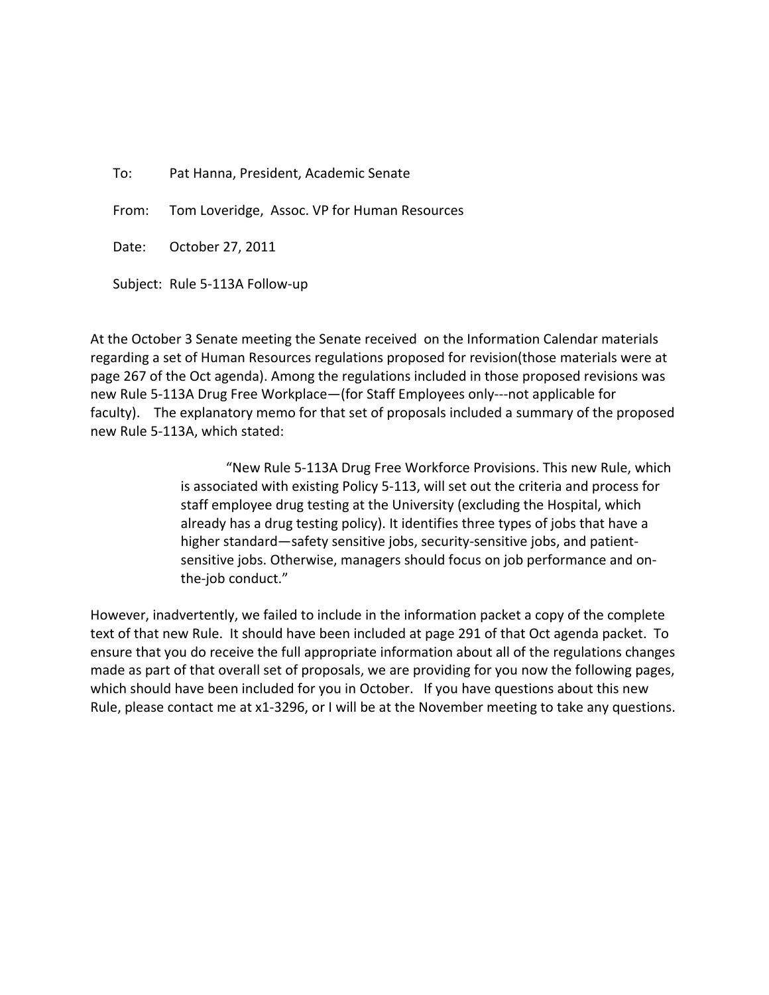To: Pat Hanna, President, Academic Senate

From: Tom Loveridge, Assoc. VP for Human Resources

Date: October 27, 2011

Subject: Rule 5‐113A Follow‐up

At the October 3 Senate meeting the Senate received on the Information Calendar materials regarding a set of Human Resources regulations proposed for revision(those materials were at page 267 of the Oct agenda). Among the regulations included in those proposed revisions was new Rule 5‐113A Drug Free Workplace—(for Staff Employees only‐‐‐not applicable for faculty). The explanatory memo for that set of proposals included a summary of the proposed new Rule 5‐113A, which stated:

> "New Rule 5‐113A Drug Free Workforce Provisions. This new Rule, which is associated with existing Policy 5‐113, will set out the criteria and process for staff employee drug testing at the University (excluding the Hospital, which already has a drug testing policy). It identifies three types of jobs that have a higher standard—safety sensitive jobs, security-sensitive jobs, and patientsensitive jobs. Otherwise, managers should focus on job performance and on‐ the‐job conduct."

However, inadvertently, we failed to include in the information packet a copy of the complete text of that new Rule. It should have been included at page 291 of that Oct agenda packet. To ensure that you do receive the full appropriate information about all of the regulations changes made as part of that overall set of proposals, we are providing for you now the following pages, which should have been included for you in October. If you have questions about this new Rule, please contact me at x1-3296, or I will be at the November meeting to take any questions.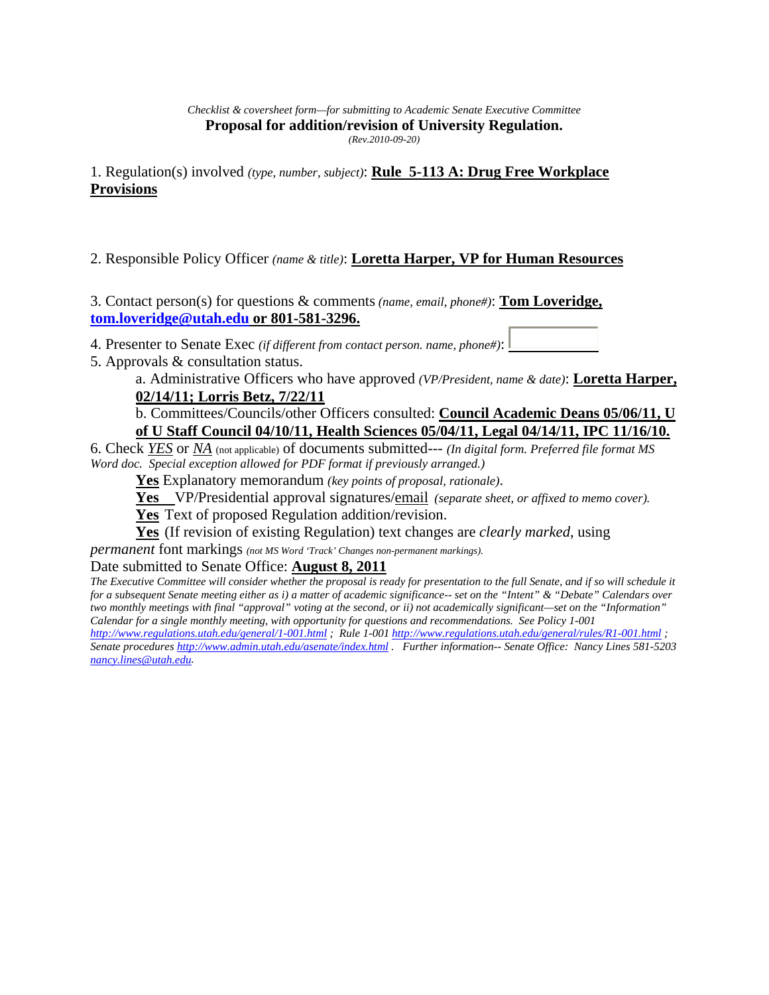*Checklist & coversheet form—for submitting to Academic Senate Executive Committee*  **Proposal for addition/revision of University Regulation.**  *(Rev.2010-09-20)*

1. Regulation(s) involved *(type, number, subject)*: **Rule 5-113 A: Drug Free Workplace Provisions**

2. Responsible Policy Officer *(name & title)*: **Loretta Harper, VP for Human Resources**

3. Contact person(s) for questions & comments *(name, email, phone#)*: **Tom Loveridge, tom.loveridge@utah.edu or 801-581-3296.**

4. Presenter to Senate Exec *(if different from contact person. name, phone#)*:

5. Approvals & consultation status.

a. Administrative Officers who have approved *(VP/President, name & date)*: **Loretta Harper, 02/14/11; Lorris Betz, 7/22/11**

## b. Committees/Councils/other Officers consulted: **Council Academic Deans 05/06/11, U of U Staff Council 04/10/11, Health Sciences 05/04/11, Legal 04/14/11, IPC 11/16/10.**

6. Check *YES* or *NA* (not applicable) of documents submitted--- *(In digital form. Preferred file format MS Word doc. Special exception allowed for PDF format if previously arranged.)*

**Yes** Explanatory memorandum *(key points of proposal, rationale)*.

**Yes** VP/Presidential approval signatures/email *(separate sheet, or affixed to memo cover).* 

**Yes** Text of proposed Regulation addition/revision.

**Yes** (If revision of existing Regulation) text changes are *clearly marked*, using

*permanent* font markings *(not MS Word 'Track' Changes non-permanent markings).*

Date submitted to Senate Office: **August 8, 2011**

*The Executive Committee will consider whether the proposal is ready for presentation to the full Senate, and if so will schedule it for a subsequent Senate meeting either as i) a matter of academic significance-- set on the "Intent" & "Debate" Calendars over two monthly meetings with final "approval" voting at the second, or ii) not academically significant—set on the "Information" Calendar for a single monthly meeting, with opportunity for questions and recommendations. See Policy 1-001* 

*http://www.regulations.utah.edu/general/1-001.html ; Rule 1-001 http://www.regulations.utah.edu/general/rules/R1-001.html ; Senate procedures http://www.admin.utah.edu/asenate/index.html . Further information-- Senate Office: Nancy Lines 581-5203 nancy.lines@utah.edu.*